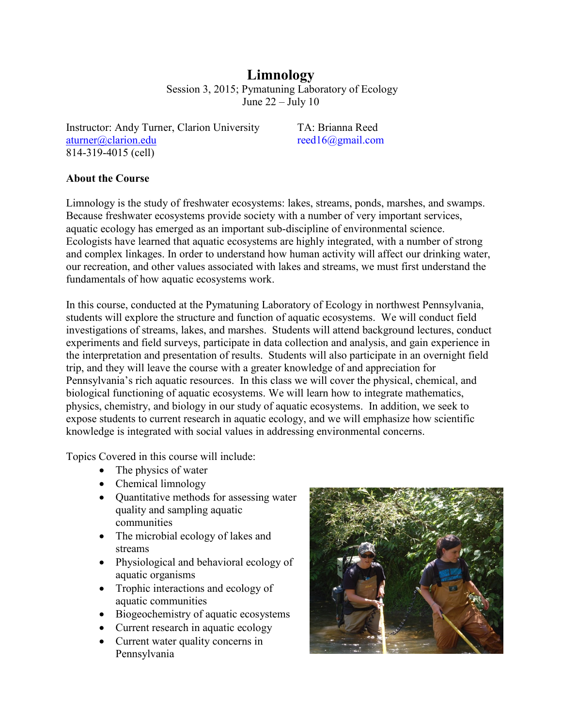**Limnology** Session 3, 2015; Pymatuning Laboratory of Ecology June  $22 -$ July 10

Instructor: Andy Turner, Clarion University TA: Brianna Reed [aturner@clarion.edu](mailto:aturner@clarion.edu) reed16@gmail.com 814-319-4015 (cell)

## **About the Course**

Limnology is the study of freshwater ecosystems: lakes, streams, ponds, marshes, and swamps. Because freshwater ecosystems provide society with a number of very important services, aquatic ecology has emerged as an important sub-discipline of environmental science. Ecologists have learned that aquatic ecosystems are highly integrated, with a number of strong and complex linkages. In order to understand how human activity will affect our drinking water, our recreation, and other values associated with lakes and streams, we must first understand the fundamentals of how aquatic ecosystems work.

In this course, conducted at the Pymatuning Laboratory of Ecology in northwest Pennsylvania, students will explore the structure and function of aquatic ecosystems. We will conduct field investigations of streams, lakes, and marshes. Students will attend background lectures, conduct experiments and field surveys, participate in data collection and analysis, and gain experience in the interpretation and presentation of results. Students will also participate in an overnight field trip, and they will leave the course with a greater knowledge of and appreciation for Pennsylvania's rich aquatic resources. In this class we will cover the physical, chemical, and biological functioning of aquatic ecosystems. We will learn how to integrate mathematics, physics, chemistry, and biology in our study of aquatic ecosystems. In addition, we seek to expose students to current research in aquatic ecology, and we will emphasize how scientific knowledge is integrated with social values in addressing environmental concerns.

Topics Covered in this course will include:

- The physics of water
- Chemical limnology
- Ouantitative methods for assessing water quality and sampling aquatic communities
- The microbial ecology of lakes and streams
- Physiological and behavioral ecology of aquatic organisms
- Trophic interactions and ecology of aquatic communities
- Biogeochemistry of aquatic ecosystems
- Current research in aquatic ecology
- Current water quality concerns in Pennsylvania

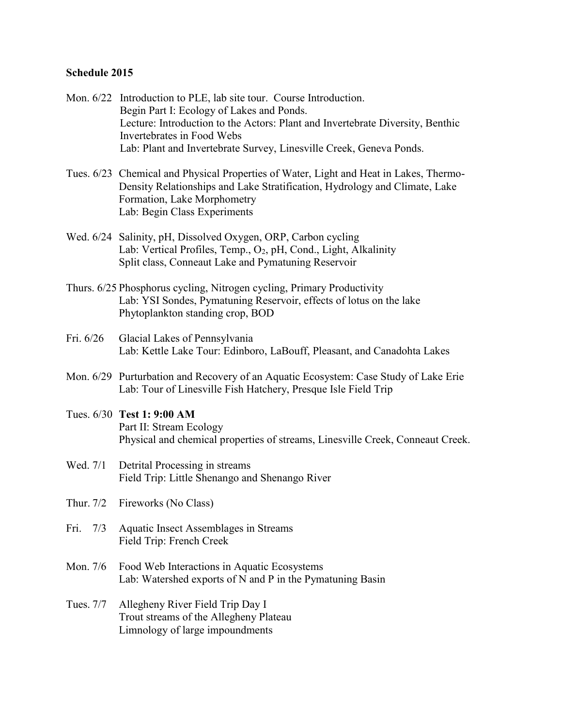## **Schedule 2015**

- Mon. 6/22 Introduction to PLE, lab site tour. Course Introduction. Begin Part I: Ecology of Lakes and Ponds. Lecture: Introduction to the Actors: Plant and Invertebrate Diversity, Benthic Invertebrates in Food Webs Lab: Plant and Invertebrate Survey, Linesville Creek, Geneva Ponds.
- Tues. 6/23 Chemical and Physical Properties of Water, Light and Heat in Lakes, Thermo-Density Relationships and Lake Stratification, Hydrology and Climate, Lake Formation, Lake Morphometry Lab: Begin Class Experiments
- Wed. 6/24 Salinity, pH, Dissolved Oxygen, ORP, Carbon cycling Lab: Vertical Profiles, Temp., O<sub>2</sub>, pH, Cond., Light, Alkalinity Split class, Conneaut Lake and Pymatuning Reservoir
- Thurs. 6/25 Phosphorus cycling, Nitrogen cycling, Primary Productivity Lab: YSI Sondes, Pymatuning Reservoir, effects of lotus on the lake Phytoplankton standing crop, BOD
- Fri. 6/26 Glacial Lakes of Pennsylvania Lab: Kettle Lake Tour: Edinboro, LaBouff, Pleasant, and Canadohta Lakes
- Mon. 6/29 Purturbation and Recovery of an Aquatic Ecosystem: Case Study of Lake Erie Lab: Tour of Linesville Fish Hatchery, Presque Isle Field Trip
- Tues. 6/30 **Test 1: 9:00 AM** Part II: Stream Ecology Physical and chemical properties of streams, Linesville Creek, Conneaut Creek.
- Wed. 7/1 Detrital Processing in streams Field Trip: Little Shenango and Shenango River
- Thur. 7/2 Fireworks (No Class)
- Fri. 7/3 Aquatic Insect Assemblages in Streams Field Trip: French Creek
- Mon. 7/6 Food Web Interactions in Aquatic Ecosystems Lab: Watershed exports of N and P in the Pymatuning Basin
- Tues. 7/7 Allegheny River Field Trip Day I Trout streams of the Allegheny Plateau Limnology of large impoundments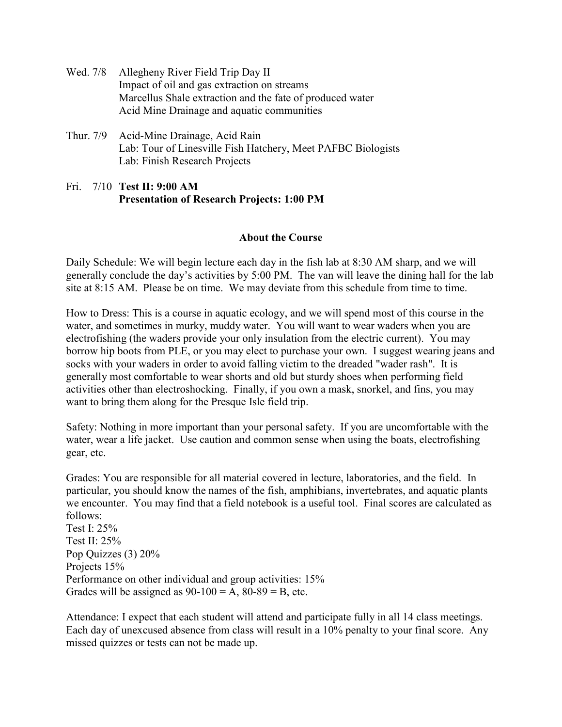- Wed. 7/8 Allegheny River Field Trip Day II Impact of oil and gas extraction on streams Marcellus Shale extraction and the fate of produced water Acid Mine Drainage and aquatic communities
- Thur. 7/9 Acid-Mine Drainage, Acid Rain Lab: Tour of Linesville Fish Hatchery, Meet PAFBC Biologists Lab: Finish Research Projects
- Fri. 7/10 **Test II: 9:00 AM Presentation of Research Projects: 1:00 PM**

## **About the Course**

Daily Schedule: We will begin lecture each day in the fish lab at 8:30 AM sharp, and we will generally conclude the day's activities by 5:00 PM. The van will leave the dining hall for the lab site at 8:15 AM. Please be on time. We may deviate from this schedule from time to time.

How to Dress: This is a course in aquatic ecology, and we will spend most of this course in the water, and sometimes in murky, muddy water. You will want to wear waders when you are electrofishing (the waders provide your only insulation from the electric current). You may borrow hip boots from PLE, or you may elect to purchase your own. I suggest wearing jeans and socks with your waders in order to avoid falling victim to the dreaded "wader rash". It is generally most comfortable to wear shorts and old but sturdy shoes when performing field activities other than electroshocking. Finally, if you own a mask, snorkel, and fins, you may want to bring them along for the Presque Isle field trip.

Safety: Nothing in more important than your personal safety. If you are uncomfortable with the water, wear a life jacket. Use caution and common sense when using the boats, electrofishing gear, etc.

Grades: You are responsible for all material covered in lecture, laboratories, and the field. In particular, you should know the names of the fish, amphibians, invertebrates, and aquatic plants we encounter. You may find that a field notebook is a useful tool. Final scores are calculated as follows: Test I: 25% Test II: 25% Pop Quizzes (3) 20%

Projects 15% Performance on other individual and group activities: 15% Grades will be assigned as  $90-100 = A$ ,  $80-89 = B$ , etc.

Attendance: I expect that each student will attend and participate fully in all 14 class meetings. Each day of unexcused absence from class will result in a 10% penalty to your final score. Any missed quizzes or tests can not be made up.